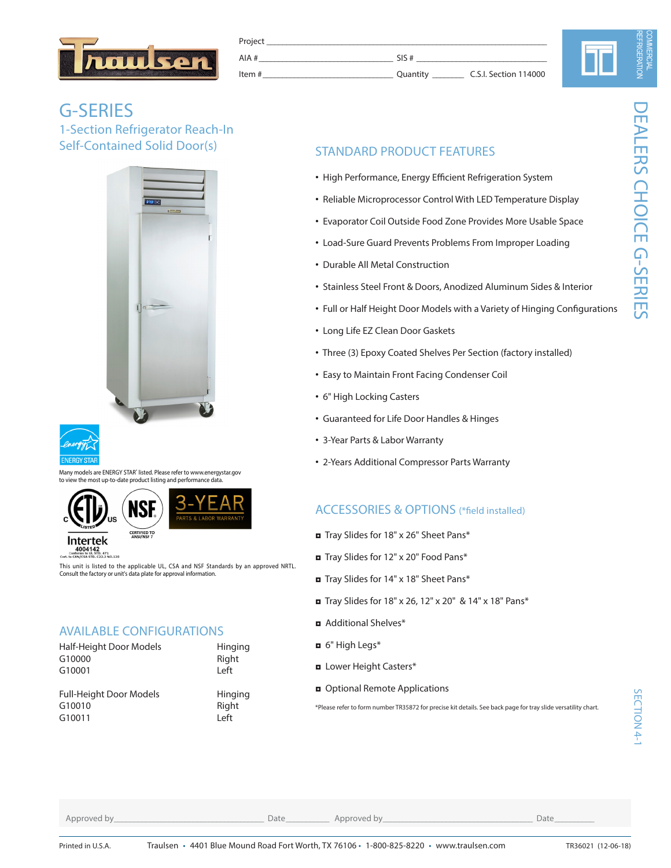

| Project           |          |                       |
|-------------------|----------|-----------------------|
| AIA#              | SIS#     |                       |
| ltem #<br>_______ | Ouantity | C.S.I. Section 114000 |

# N

## G-SERIES 1-Section Refrigerator Reach-In Self-Contained Solid Door(s)





Many models are ENERGY STAR<sup>®</sup> listed. Please refer to www.energystar.gov to most up-to-date product listing and performance data





E<br>TD. 471<br>C22.2 NO.120

This unit is listed to the applicable UL, CSA and NSF Standards by an approved NRTL. Consult the factory or unit's data plate for approval information.

## AVAILABLE CONFIGURATIONS

| Half-Height Door Models        | Hinging |
|--------------------------------|---------|
| G10000                         | Right   |
| G10001                         | Left    |
|                                |         |
| <b>Full-Height Door Models</b> | Hinging |
| G10010                         | Right   |
| G10011                         | Left    |

## STANDARD PRODUCT FEATURES

- High Performance, Energy Efficient Refrigeration System
- Reliable Microprocessor Control With LED Temperature Display
- Evaporator Coil Outside Food Zone Provides More Usable Space
- Load-Sure Guard Prevents Problems From Improper Loading
- Durable All Metal Construction
- Stainless Steel Front & Doors, Anodized Aluminum Sides & Interior
- Full or Half Height Door Models with a Variety of Hinging Configurations
- Long Life EZ Clean Door Gaskets
- Three (3) Epoxy Coated Shelves Per Section (factory installed)
- Easy to Maintain Front Facing Condenser Coil
- 6" High Locking Casters
- Guaranteed for Life Door Handles & Hinges
- 3-Year Parts & Labor Warranty
- 2-Years Additional Compressor Parts Warranty

## ACCESSORIES & OPTIONS (\*field installed)

- ◘ Tray Slides for 18" x 26" Sheet Pans\*
- ◘ Tray Slides for 12" x 20" Food Pans\*
- ◘ Tray Slides for 14" x 18" Sheet Pans\*
- ◘ Tray Slides for 18" x 26, 12" x 20" & 14" x 18" Pans\*
- ◘ Additional Shelves\*
- ◘ 6" High Legs\*
- ◘ Lower Height Casters\*
- ◘ Optional Remote Applications

\*Please refer to form number TR35872 for precise kit details. See back page for tray slide versatility chart.

Approved by\_\_\_\_\_\_\_\_\_\_\_\_\_\_\_\_\_\_\_\_\_\_\_\_\_\_\_\_\_\_\_\_\_\_\_\_\_\_ Date\_\_\_\_\_\_\_\_\_\_\_ Approved by\_\_\_\_\_\_\_\_\_\_\_\_\_\_\_\_\_\_\_\_\_\_\_\_\_\_\_\_\_\_\_\_\_\_\_\_\_\_ Date\_\_\_\_\_\_\_\_\_\_

SECTION 4-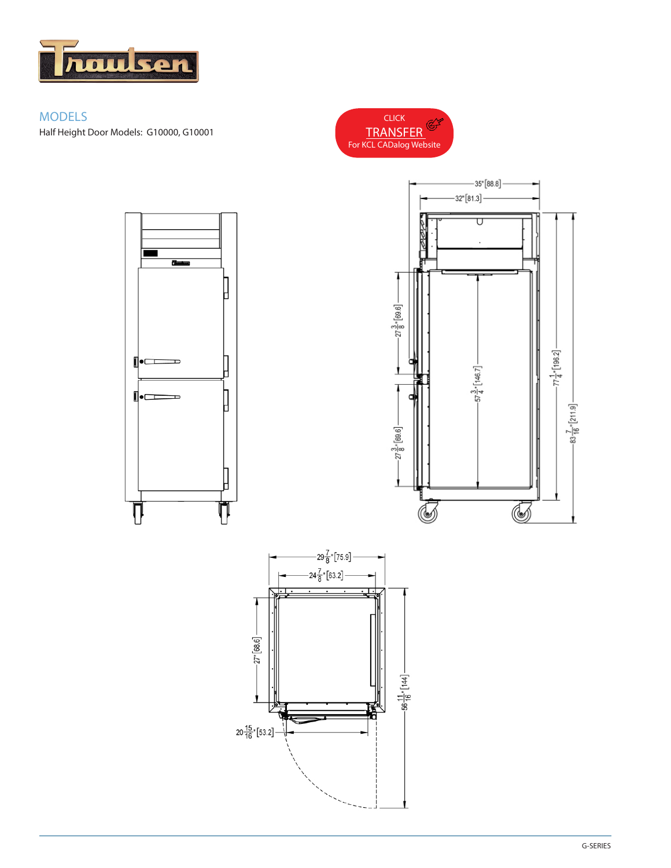

## MODELS Half Height Door Models: G10000, G10001

 $\overline{ }$ 

 $\overline{\phantom{0}}$ 

 $\overline{\phantom{0}}$ 

⊪⊏

⊪⊏

╿╿





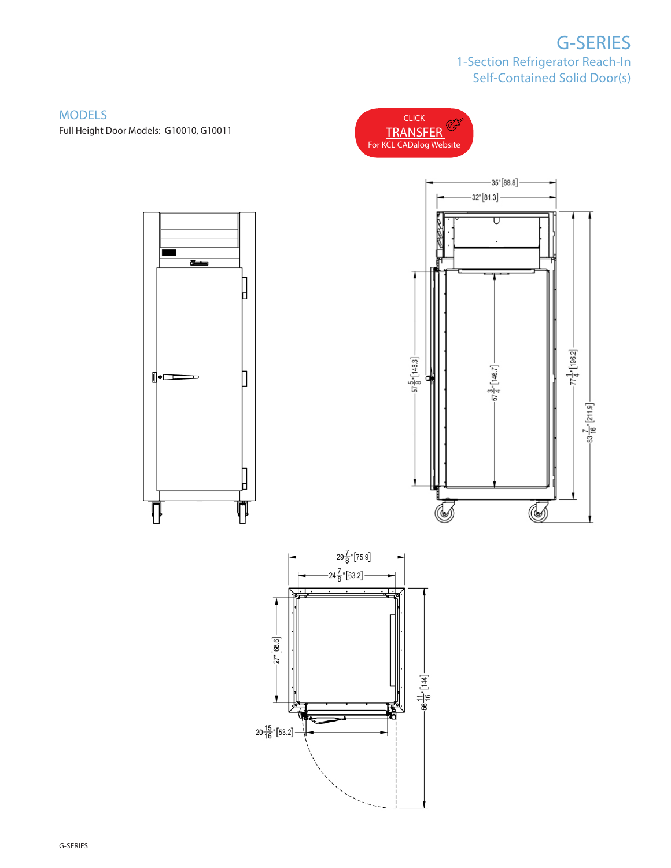## G-SERIES 1-Section Refrigerator Reach-In Self-Contained Solid Door(s)